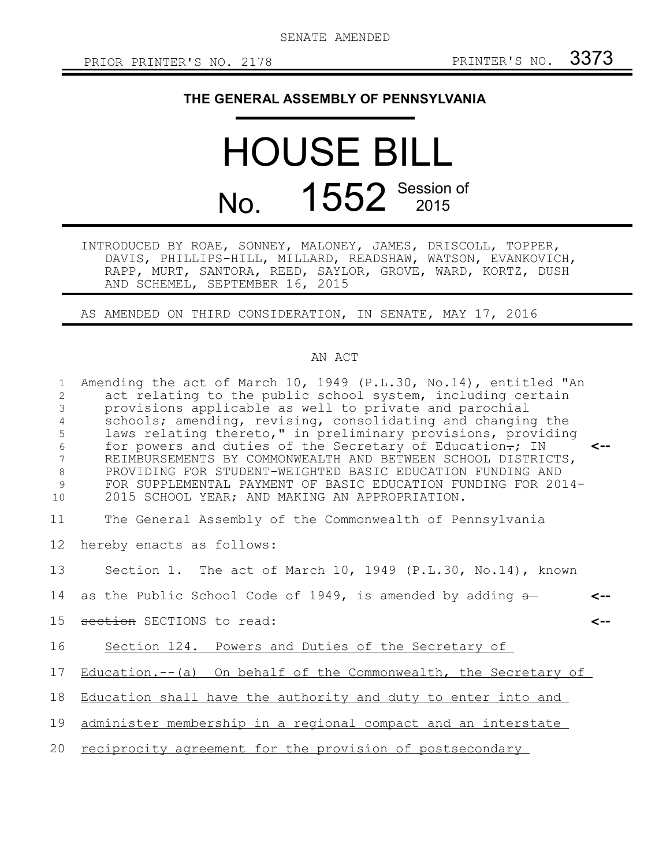## **THE GENERAL ASSEMBLY OF PENNSYLVANIA**

## HOUSE BILL No. 1552 Session of

INTRODUCED BY ROAE, SONNEY, MALONEY, JAMES, DRISCOLL, TOPPER, DAVIS, PHILLIPS-HILL, MILLARD, READSHAW, WATSON, EVANKOVICH, RAPP, MURT, SANTORA, REED, SAYLOR, GROVE, WARD, KORTZ, DUSH AND SCHEMEL, SEPTEMBER 16, 2015

AS AMENDED ON THIRD CONSIDERATION, IN SENATE, MAY 17, 2016

## AN ACT

| $\mathbf{1}$<br>2<br>3<br>4<br>5<br>6<br>7<br>$\,8\,$<br>9<br>10 | Amending the act of March 10, 1949 (P.L.30, No.14), entitled "An<br>act relating to the public school system, including certain<br>provisions applicable as well to private and parochial<br>schools; amending, revising, consolidating and changing the<br>laws relating thereto," in preliminary provisions, providing<br>for powers and duties of the Secretary of Education.; IN<br>$\leftarrow$<br>REIMBURSEMENTS BY COMMONWEALTH AND BETWEEN SCHOOL DISTRICTS,<br>PROVIDING FOR STUDENT-WEIGHTED BASIC EDUCATION FUNDING AND<br>FOR SUPPLEMENTAL PAYMENT OF BASIC EDUCATION FUNDING FOR 2014-<br>2015 SCHOOL YEAR; AND MAKING AN APPROPRIATION. |
|------------------------------------------------------------------|-------------------------------------------------------------------------------------------------------------------------------------------------------------------------------------------------------------------------------------------------------------------------------------------------------------------------------------------------------------------------------------------------------------------------------------------------------------------------------------------------------------------------------------------------------------------------------------------------------------------------------------------------------|
| 11                                                               | The General Assembly of the Commonwealth of Pennsylvania                                                                                                                                                                                                                                                                                                                                                                                                                                                                                                                                                                                              |
| 12                                                               | hereby enacts as follows:                                                                                                                                                                                                                                                                                                                                                                                                                                                                                                                                                                                                                             |
| 13                                                               | Section 1. The act of March 10, 1949 (P.L.30, No.14), known                                                                                                                                                                                                                                                                                                                                                                                                                                                                                                                                                                                           |
| 14                                                               | as the Public School Code of 1949, is amended by adding $\frac{1}{2}$<br><--                                                                                                                                                                                                                                                                                                                                                                                                                                                                                                                                                                          |
| 15                                                               | section SECTIONS to read:<br>$\leftarrow$                                                                                                                                                                                                                                                                                                                                                                                                                                                                                                                                                                                                             |
| 16                                                               | Section 124. Powers and Duties of the Secretary of                                                                                                                                                                                                                                                                                                                                                                                                                                                                                                                                                                                                    |
| 17                                                               | Education.-- (a) On behalf of the Commonwealth, the Secretary of                                                                                                                                                                                                                                                                                                                                                                                                                                                                                                                                                                                      |
| 18                                                               | Education shall have the authority and duty to enter into and                                                                                                                                                                                                                                                                                                                                                                                                                                                                                                                                                                                         |
| 19                                                               | administer membership in a regional compact and an interstate                                                                                                                                                                                                                                                                                                                                                                                                                                                                                                                                                                                         |
| 20                                                               | reciprocity agreement for the provision of postsecondary                                                                                                                                                                                                                                                                                                                                                                                                                                                                                                                                                                                              |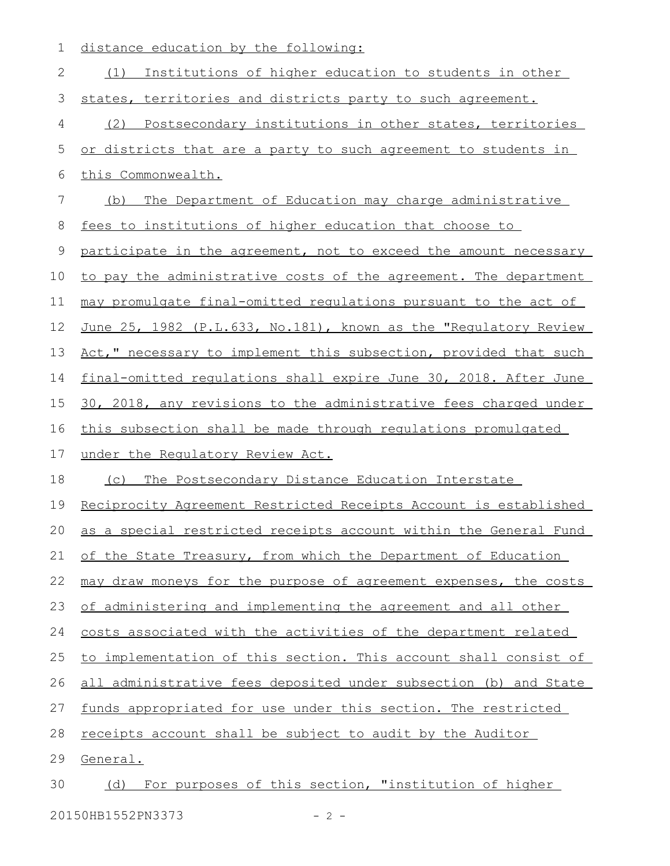1 distance education by the following:

| 2  | Institutions of higher education to students in other<br>(1)     |
|----|------------------------------------------------------------------|
| 3  | states, territories and districts party to such agreement.       |
| 4  | Postsecondary institutions in other states, territories<br>(2)   |
| 5  | or districts that are a party to such agreement to students in   |
| 6  | this Commonwealth.                                               |
| 7  | The Department of Education may charge administrative<br>(b)     |
| 8  | fees to institutions of higher education that choose to          |
| 9  | participate in the agreement, not to exceed the amount necessary |
| 10 | to pay the administrative costs of the agreement. The department |
| 11 | may promulgate final-omitted regulations pursuant to the act of  |
| 12 | June 25, 1982 (P.L.633, No.181), known as the "Requlatory Review |
| 13 | Act," necessary to implement this subsection, provided that such |
| 14 | final-omitted requlations shall expire June 30, 2018. After June |
| 15 | 30, 2018, any revisions to the administrative fees charged under |
| 16 | this subsection shall be made through regulations promulgated    |
| 17 | under the Requlatory Review Act.                                 |
| 18 | The Postsecondary Distance Education Interstate<br>(C)           |
| 19 | Reciprocity Agreement Restricted Receipts Account is established |
| 20 | as a special restricted receipts account within the General Fund |
| 21 | of the State Treasury, from which the Department of Education    |
| 22 | may draw moneys for the purpose of agreement expenses, the costs |
| 23 | of administering and implementing the agreement and all other    |
| 24 | costs associated with the activities of the department related   |
| 25 | to implementation of this section. This account shall consist of |
| 26 | all administrative fees deposited under subsection (b) and State |
| 27 | funds appropriated for use under this section. The restricted    |
| 28 | receipts account shall be subject to audit by the Auditor        |
| 29 | General.                                                         |
| 30 |                                                                  |

20150HB1552PN3373 - 2 -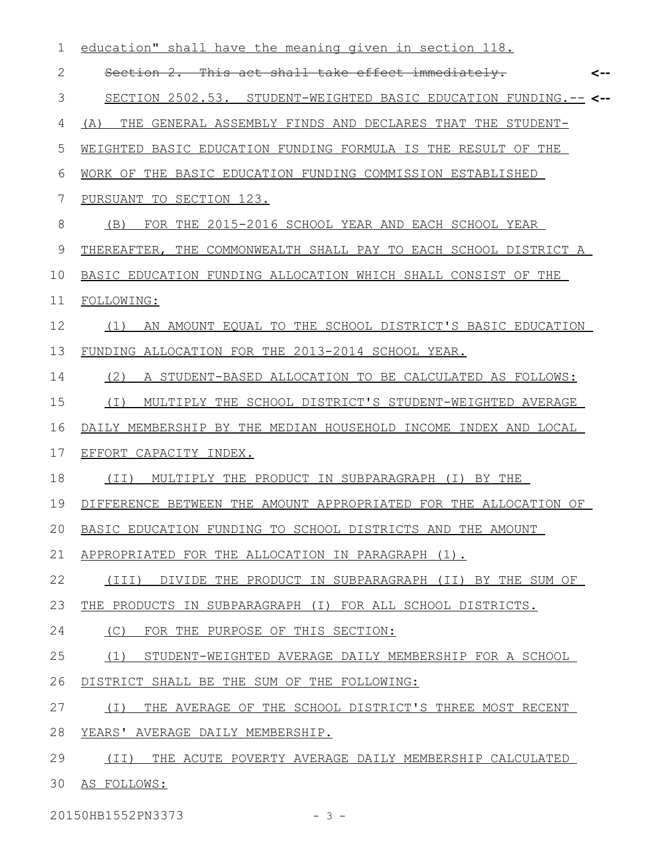| 1     | education" shall have the meaning given in section 118.          |     |
|-------|------------------------------------------------------------------|-----|
| 2     | Section 2. This act shall take effect immediately.               | <-- |
| 3     | SECTION 2502.53. STUDENT-WEIGHTED BASIC EDUCATION FUNDING.-- <-- |     |
| 4     | THE GENERAL ASSEMBLY FINDS AND DECLARES THAT THE STUDENT-<br>(A) |     |
| 5     | WEIGHTED BASIC EDUCATION FUNDING FORMULA IS THE RESULT OF THE    |     |
| 6     | WORK OF THE BASIC EDUCATION FUNDING COMMISSION ESTABLISHED       |     |
| 7     | PURSUANT TO SECTION 123.                                         |     |
| $8\,$ | FOR THE 2015-2016 SCHOOL YEAR AND EACH SCHOOL YEAR<br>(B)        |     |
| 9     | THEREAFTER, THE COMMONWEALTH SHALL PAY TO EACH SCHOOL DISTRICT A |     |
| 10    | BASIC EDUCATION FUNDING ALLOCATION WHICH SHALL CONSIST OF THE    |     |
| 11    | FOLLOWING:                                                       |     |
| 12    | AN AMOUNT EQUAL TO THE SCHOOL DISTRICT'S BASIC EDUCATION<br>(1)  |     |
| 13    | FUNDING ALLOCATION FOR THE 2013-2014 SCHOOL YEAR.                |     |
| 14    | (2) A STUDENT-BASED ALLOCATION TO BE CALCULATED AS FOLLOWS:      |     |
| 15    | MULTIPLY THE SCHOOL DISTRICT'S STUDENT-WEIGHTED AVERAGE<br>( I ) |     |
| 16    | DAILY MEMBERSHIP BY THE MEDIAN HOUSEHOLD INCOME INDEX AND LOCAL  |     |
| 17    | EFFORT CAPACITY INDEX.                                           |     |
| 18    | MULTIPLY THE PRODUCT IN SUBPARAGRAPH (I) BY THE<br>(TI)          |     |
| 19    | DIFFERENCE BETWEEN THE AMOUNT APPROPRIATED FOR THE ALLOCATION OF |     |
| 20    | BASIC EDUCATION FUNDING TO SCHOOL DISTRICTS AND THE AMOUNT       |     |
| 21    | APPROPRIATED FOR THE ALLOCATION IN PARAGRAPH (1).                |     |
| 22    | (III)<br>DIVIDE THE PRODUCT IN SUBPARAGRAPH (II) BY THE SUM OF   |     |
| 23    | THE PRODUCTS IN SUBPARAGRAPH (I) FOR ALL SCHOOL DISTRICTS.       |     |
| 24    | (C)<br>FOR THE PURPOSE OF THIS SECTION:                          |     |
| 25    | (1)<br>STUDENT-WEIGHTED AVERAGE DAILY MEMBERSHIP FOR A SCHOOL    |     |
| 26    | DISTRICT SHALL BE THE SUM OF THE FOLLOWING:                      |     |
| 27    | THE AVERAGE OF THE SCHOOL DISTRICT'S THREE MOST RECENT<br>( I )  |     |
| 28    | YEARS' AVERAGE DAILY MEMBERSHIP.                                 |     |
| 29    | (TI)<br>THE ACUTE POVERTY AVERAGE DAILY MEMBERSHIP CALCULATED    |     |
| 30    | AS FOLLOWS:                                                      |     |
|       |                                                                  |     |

20150HB1552PN3373 - 3 -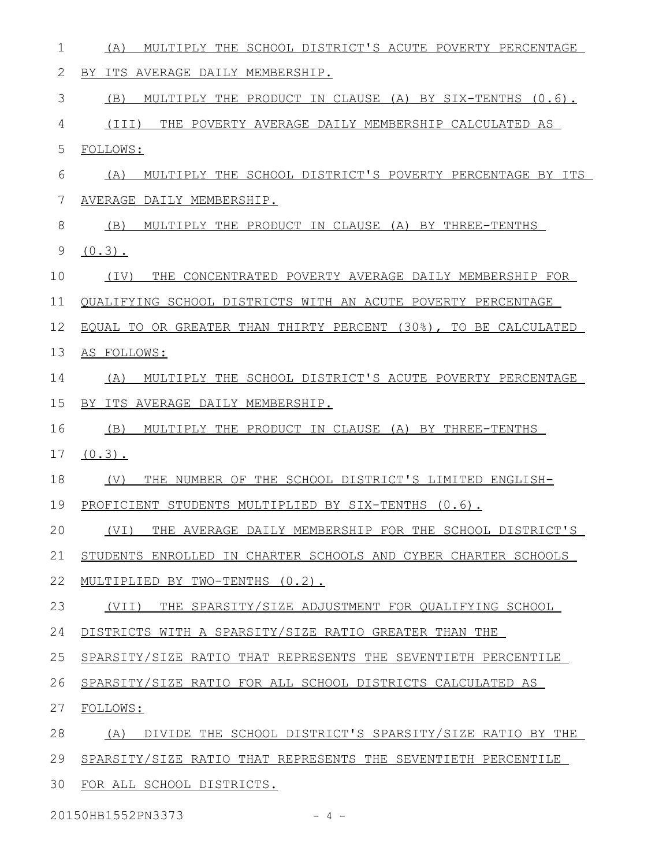- (A) MULTIPLY THE SCHOOL DISTRICT'S ACUTE POVERTY PERCENTAGE 1
- BY ITS AVERAGE DAILY MEMBERSHIP. 2

(B) MULTIPLY THE PRODUCT IN CLAUSE (A) BY SIX-TENTHS (0.6). 3

(III) THE POVERTY AVERAGE DAILY MEMBERSHIP CALCULATED AS 4

FOLLOWS: 5

- (A) MULTIPLY THE SCHOOL DISTRICT'S POVERTY PERCENTAGE BY ITS AVERAGE DAILY MEMBERSHIP. 6 7
- (B) MULTIPLY THE PRODUCT IN CLAUSE (A) BY THREE-TENTHS 8
- $(0.3)$ . 9

(IV) THE CONCENTRATED POVERTY AVERAGE DAILY MEMBERSHIP FOR 10

QUALIFYING SCHOOL DISTRICTS WITH AN ACUTE POVERTY PERCENTAGE 11

- EQUAL TO OR GREATER THAN THIRTY PERCENT (30%), TO BE CALCULATED 12
- AS FOLLOWS: 13
- (A) MULTIPLY THE SCHOOL DISTRICT'S ACUTE POVERTY PERCENTAGE 14
- BY ITS AVERAGE DAILY MEMBERSHIP. 15

(B) MULTIPLY THE PRODUCT IN CLAUSE (A) BY THREE-TENTHS 16

- $(0.3)$ . 17
- (V) THE NUMBER OF THE SCHOOL DISTRICT'S LIMITED ENGLISH-18
- PROFICIENT STUDENTS MULTIPLIED BY SIX-TENTHS  $(0.6)$ . 19

(VI) THE AVERAGE DAILY MEMBERSHIP FOR THE SCHOOL DISTRICT'S 20

STUDENTS ENROLLED IN CHARTER SCHOOLS AND CYBER CHARTER SCHOOLS 21

MULTIPLIED BY TWO-TENTHS (0.2). 22

(VII) THE SPARSITY/SIZE ADJUSTMENT FOR QUALIFYING SCHOOL 23

DISTRICTS WITH A SPARSITY/SIZE RATIO GREATER THAN THE 24

SPARSITY/SIZE RATIO THAT REPRESENTS THE SEVENTIETH PERCENTILE 25

- SPARSITY/SIZE RATIO FOR ALL SCHOOL DISTRICTS CALCULATED AS 26
- FOLLOWS: 27

(A) DIVIDE THE SCHOOL DISTRICT'S SPARSITY/SIZE RATIO BY THE 28

- SPARSITY/SIZE RATIO THAT REPRESENTS THE SEVENTIETH PERCENTILE 29
- 30 FOR ALL SCHOOL DISTRICTS.

20150HB1552PN3373 - 4 -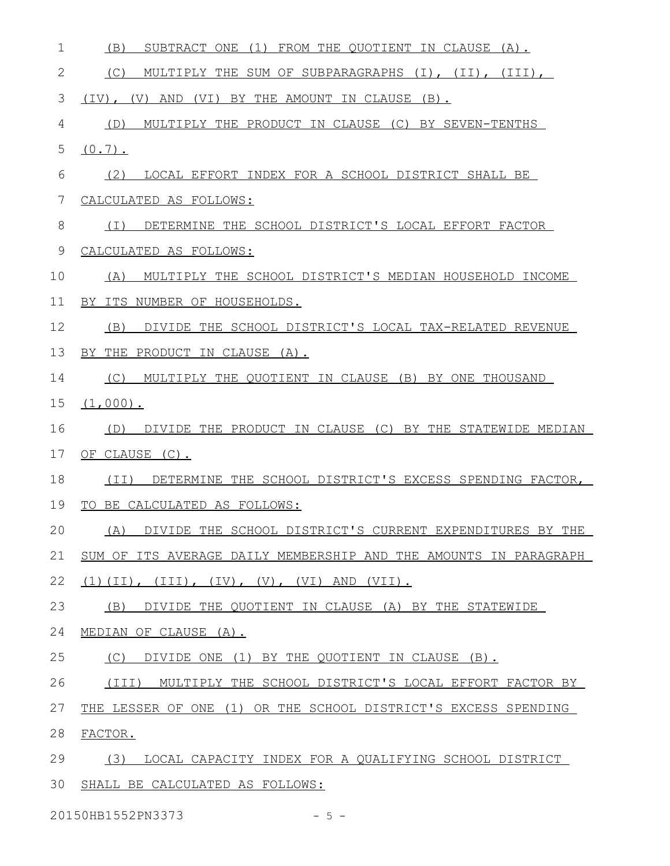| 1  | (B)<br>SUBTRACT ONE (1)<br>FROM THE QUOTIENT IN CLAUSE (A).      |
|----|------------------------------------------------------------------|
| 2  | (C)<br>MULTIPLY THE SUM OF SUBPARAGRAPHS (I), (II), (III),       |
| 3  | $(TV)$ , $(V)$ AND $(VI)$<br>BY THE AMOUNT IN CLAUSE<br>$(B)$ .  |
| 4  | MULTIPLY THE PRODUCT IN CLAUSE (C) BY SEVEN-TENTHS<br>(D)        |
| 5  | $(0.7)$ .                                                        |
| 6  | (2)<br>LOCAL EFFORT INDEX FOR A SCHOOL DISTRICT SHALL BE         |
| 7  | CALCULATED AS FOLLOWS:                                           |
| 8  | DETERMINE THE SCHOOL DISTRICT'S LOCAL EFFORT FACTOR<br>( I )     |
| 9  | CALCULATED AS FOLLOWS:                                           |
| 10 | MULTIPLY THE SCHOOL DISTRICT'S MEDIAN HOUSEHOLD INCOME<br>(A)    |
| 11 | BY ITS NUMBER OF HOUSEHOLDS.                                     |
| 12 | DIVIDE THE SCHOOL DISTRICT'S LOCAL TAX-RELATED REVENUE<br>(B)    |
| 13 | BY THE PRODUCT IN CLAUSE (A).                                    |
| 14 | MULTIPLY THE QUOTIENT IN CLAUSE (B) BY ONE THOUSAND<br>(C)       |
| 15 | $(1,000)$ .                                                      |
| 16 | DIVIDE THE PRODUCT IN CLAUSE (C) BY THE STATEWIDE MEDIAN<br>(D)  |
| 17 | OF CLAUSE (C).                                                   |
| 18 | DETERMINE THE SCHOOL DISTRICT'S EXCESS SPENDING FACTOR,<br>(TI)  |
| 19 | TO BE CALCULATED AS FOLLOWS:                                     |
| 20 | (A) DIVIDE THE SCHOOL DISTRICT'S CURRENT EXPENDITURES BY THE     |
| 21 | SUM OF ITS AVERAGE DAILY MEMBERSHIP AND THE AMOUNTS IN PARAGRAPH |
| 22 | $(1)$ (II), (III), (IV), (V), (VI) AND (VII).                    |
| 23 | (B)<br>DIVIDE THE QUOTIENT IN CLAUSE (A) BY THE STATEWIDE        |
| 24 | MEDIAN OF CLAUSE (A).                                            |
| 25 | (C)<br>DIVIDE ONE (1) BY THE QUOTIENT IN CLAUSE (B).             |
| 26 | (III) MULTIPLY THE SCHOOL DISTRICT'S LOCAL EFFORT FACTOR BY      |
| 27 | THE LESSER OF ONE (1) OR THE SCHOOL DISTRICT'S EXCESS SPENDING   |
| 28 | FACTOR.                                                          |
| 29 | (3)<br>LOCAL CAPACITY INDEX FOR A QUALIFYING SCHOOL DISTRICT     |
| 30 | SHALL BE CALCULATED AS FOLLOWS:                                  |

20150HB1552PN3373 - 5 -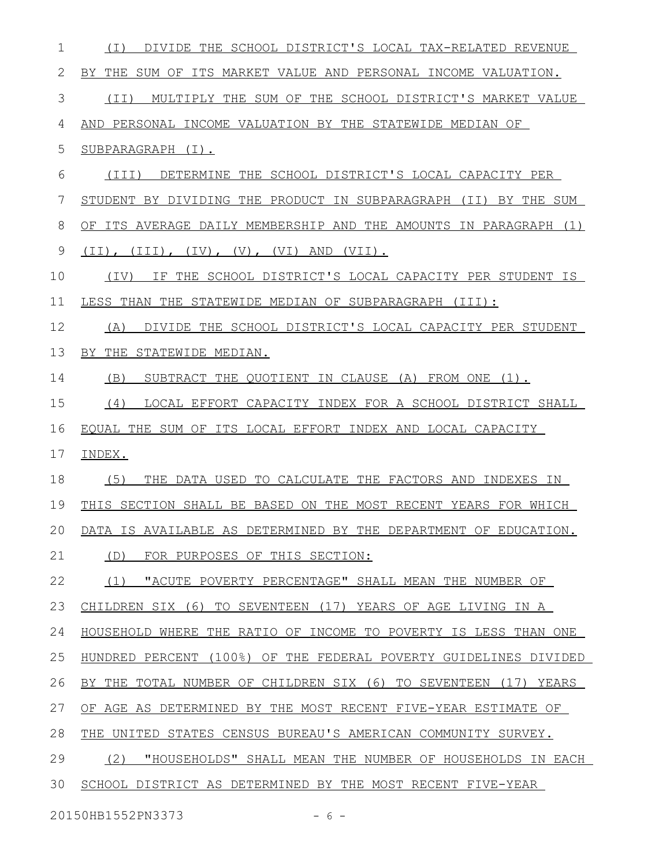| 1  | DIVIDE THE SCHOOL DISTRICT'S LOCAL TAX-RELATED REVENUE<br>( I )       |
|----|-----------------------------------------------------------------------|
| 2  | BY THE SUM OF ITS MARKET VALUE AND PERSONAL INCOME VALUATION.         |
| 3  | MULTIPLY THE SUM OF THE SCHOOL DISTRICT'S MARKET VALUE<br>(II)        |
| 4  | AND PERSONAL INCOME VALUATION BY THE STATEWIDE MEDIAN OF              |
| 5  | SUBPARAGRAPH (I).                                                     |
| 6  | DETERMINE THE SCHOOL DISTRICT'S LOCAL CAPACITY PER<br>(III)           |
| 7  | STUDENT BY DIVIDING THE PRODUCT IN SUBPARAGRAPH<br>BY THE SUM<br>(TI) |
| 8  | OF ITS AVERAGE DAILY MEMBERSHIP AND THE AMOUNTS IN PARAGRAPH (1)      |
| 9  | $(II)$ , $(III)$ , $(IV)$ , $(V)$ , $(VI)$ AND $(VII)$ .              |
| 10 | IF THE SCHOOL DISTRICT'S LOCAL CAPACITY PER STUDENT IS<br>(IV)        |
| 11 | LESS THAN THE STATEWIDE MEDIAN OF SUBPARAGRAPH (III):                 |
| 12 | DIVIDE THE SCHOOL DISTRICT'S LOCAL CAPACITY PER STUDENT<br>(A)        |
| 13 | BY THE STATEWIDE MEDIAN.                                              |
| 14 | (B)<br>SUBTRACT THE QUOTIENT IN CLAUSE (A) FROM ONE (1).              |
| 15 | LOCAL EFFORT CAPACITY INDEX FOR A SCHOOL DISTRICT SHALL<br>(4)        |
| 16 | EQUAL THE SUM OF ITS LOCAL EFFORT INDEX AND LOCAL CAPACITY            |
| 17 | INDEX.                                                                |
| 18 | (5)<br>THE DATA USED TO CALCULATE THE FACTORS AND INDEXES IN          |
| 19 | THIS SECTION SHALL BE BASED ON THE MOST RECENT YEARS FOR WHICH        |
| 20 | DATA IS AVAILABLE AS DETERMINED BY THE DEPARTMENT OF EDUCATION.       |
| 21 | (D)<br>FOR PURPOSES OF THIS SECTION:                                  |
| 22 | "ACUTE POVERTY PERCENTAGE" SHALL MEAN THE NUMBER OF<br>(1)            |
| 23 | CHILDREN SIX (6) TO SEVENTEEN (17) YEARS OF AGE LIVING IN A           |
| 24 | HOUSEHOLD WHERE THE RATIO OF INCOME TO POVERTY IS LESS THAN ONE       |
| 25 | HUNDRED PERCENT (100%) OF THE FEDERAL POVERTY GUIDELINES DIVIDED      |
| 26 | BY THE TOTAL NUMBER OF CHILDREN SIX (6) TO SEVENTEEN (17) YEARS       |
| 27 | OF AGE AS DETERMINED BY THE MOST RECENT FIVE-YEAR ESTIMATE OF         |
| 28 | UNITED STATES CENSUS BUREAU'S AMERICAN COMMUNITY SURVEY.<br>THE       |
| 29 | (2)<br>"HOUSEHOLDS" SHALL MEAN THE NUMBER OF HOUSEHOLDS IN EACH       |
| 30 | SCHOOL DISTRICT AS DETERMINED BY THE MOST RECENT FIVE-YEAR            |
|    |                                                                       |

20150HB1552PN3373 - 6 -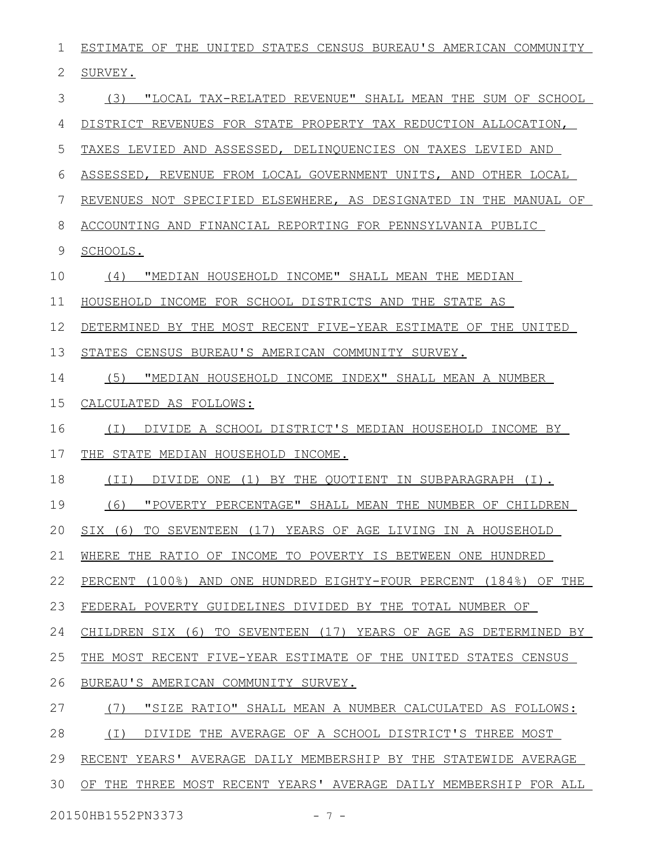| 1  | ESTIMATE OF THE UNITED STATES CENSUS BUREAU'S AMERICAN COMMUNITY  |
|----|-------------------------------------------------------------------|
| 2  | SURVEY.                                                           |
| 3  | "LOCAL TAX-RELATED REVENUE" SHALL MEAN THE SUM OF SCHOOL<br>(3)   |
| 4  | DISTRICT REVENUES FOR STATE PROPERTY TAX REDUCTION ALLOCATION,    |
| 5  | TAXES LEVIED AND ASSESSED, DELINQUENCIES ON TAXES LEVIED AND      |
| 6  | ASSESSED, REVENUE FROM LOCAL GOVERNMENT UNITS, AND OTHER LOCAL    |
| 7  | REVENUES NOT SPECIFIED ELSEWHERE, AS DESIGNATED IN THE MANUAL OF  |
| 8  | ACCOUNTING AND FINANCIAL REPORTING FOR PENNSYLVANIA PUBLIC        |
| 9  | SCHOOLS.                                                          |
| 10 | (4)<br>"MEDIAN HOUSEHOLD INCOME" SHALL MEAN THE MEDIAN            |
| 11 | HOUSEHOLD INCOME FOR SCHOOL DISTRICTS AND THE STATE AS            |
| 12 | DETERMINED BY THE MOST RECENT FIVE-YEAR ESTIMATE OF THE UNITED    |
| 13 | STATES CENSUS BUREAU'S AMERICAN COMMUNITY SURVEY.                 |
| 14 | "MEDIAN HOUSEHOLD INCOME INDEX" SHALL MEAN A NUMBER<br>(5)        |
| 15 | CALCULATED AS FOLLOWS:                                            |
| 16 | DIVIDE A SCHOOL DISTRICT'S MEDIAN HOUSEHOLD INCOME BY<br>( I )    |
| 17 | THE STATE MEDIAN HOUSEHOLD INCOME.                                |
| 18 | (TI)<br>DIVIDE ONE (1) BY THE QUOTIENT IN SUBPARAGRAPH (I).       |
| 19 | (6)<br>"POVERTY PERCENTAGE" SHALL MEAN THE NUMBER OF CHILDREN     |
| 20 | $SIX$ (6)<br>TO SEVENTEEN (17) YEARS OF AGE LIVING IN A HOUSEHOLD |
| 21 | WHERE THE RATIO OF INCOME TO POVERTY IS BETWEEN ONE HUNDRED       |
| 22 | PERCENT (100%) AND ONE HUNDRED EIGHTY-FOUR PERCENT (184%) OF THE  |
| 23 | FEDERAL POVERTY GUIDELINES DIVIDED BY THE TOTAL NUMBER OF         |
| 24 | CHILDREN SIX (6) TO SEVENTEEN (17) YEARS OF AGE AS DETERMINED BY  |
| 25 | THE MOST RECENT FIVE-YEAR ESTIMATE OF THE UNITED STATES CENSUS    |
| 26 | BUREAU'S AMERICAN COMMUNITY SURVEY.                               |
| 27 | (7)<br>"SIZE RATIO" SHALL MEAN A NUMBER CALCULATED AS FOLLOWS:    |
| 28 | DIVIDE THE AVERAGE OF A SCHOOL DISTRICT'S THREE MOST<br>(T)       |
| 29 | RECENT YEARS' AVERAGE DAILY MEMBERSHIP BY THE STATEWIDE AVERAGE   |
| 30 | OF THE THREE MOST RECENT YEARS' AVERAGE DAILY MEMBERSHIP FOR ALL  |
|    |                                                                   |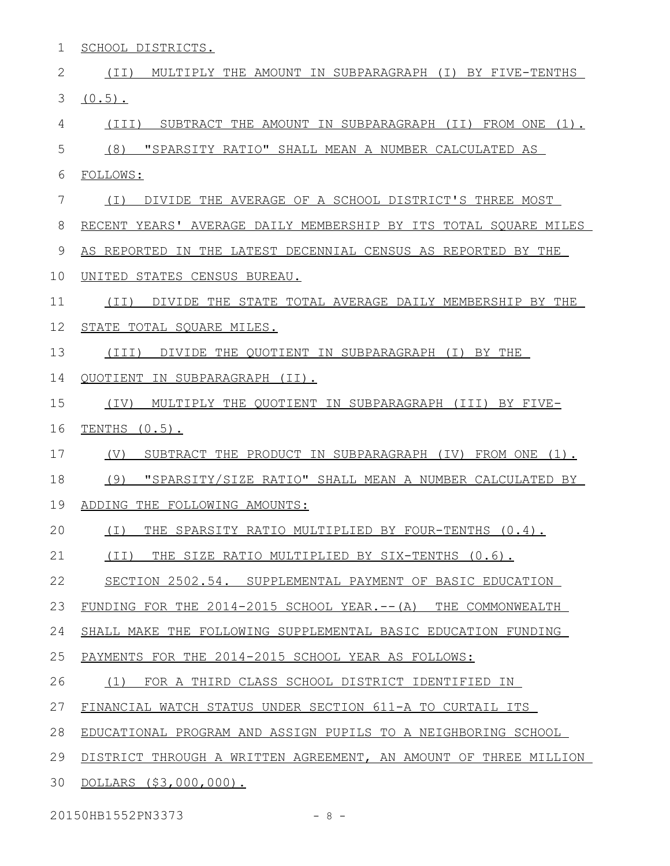1 SCHOOL DISTRICTS.

| $\mathbf{2}$ | (II)<br>MULTIPLY THE AMOUNT IN SUBPARAGRAPH (I) BY FIVE-TENTHS   |
|--------------|------------------------------------------------------------------|
| 3            | $(0.5)$ .                                                        |
| 4            | SUBTRACT THE AMOUNT IN SUBPARAGRAPH (II) FROM ONE (1).<br>(III)  |
| 5            | (8)<br>"SPARSITY RATIO" SHALL MEAN A NUMBER CALCULATED AS        |
| 6            | FOLLOWS:                                                         |
| 7            | DIVIDE THE AVERAGE OF A SCHOOL DISTRICT'S THREE MOST<br>( I )    |
| 8            | RECENT YEARS' AVERAGE DAILY MEMBERSHIP BY ITS TOTAL SQUARE MILES |
| 9            | AS REPORTED IN THE LATEST DECENNIAL CENSUS AS REPORTED BY THE    |
| 10           | UNITED STATES CENSUS BUREAU.                                     |
| 11           | DIVIDE THE STATE TOTAL AVERAGE DAILY MEMBERSHIP BY THE<br>(II)   |
| 12           | STATE TOTAL SQUARE MILES.                                        |
| 13           | DIVIDE THE QUOTIENT IN SUBPARAGRAPH (I) BY THE<br>(III)          |
| 14           | QUOTIENT IN SUBPARAGRAPH (II).                                   |
| 15           | MULTIPLY THE QUOTIENT IN SUBPARAGRAPH (III) BY FIVE-<br>(TV)     |
| 16           | TENTHS $(0.5)$ .                                                 |
| 17           | SUBTRACT THE PRODUCT IN SUBPARAGRAPH (IV) FROM ONE (1).<br>(V)   |
| 18           | (9)<br>"SPARSITY/SIZE RATIO" SHALL MEAN A NUMBER CALCULATED BY   |
| 19           | ADDING THE FOLLOWING AMOUNTS:                                    |
| 20           | ( I )<br>THE SPARSITY RATIO MULTIPLIED BY FOUR-TENTHS (0.4).     |
| 21           | (II) THE SIZE RATIO MULTIPLIED BY SIX-TENTHS (0.6).              |
| 22           | SECTION 2502.54. SUPPLEMENTAL PAYMENT OF BASIC EDUCATION         |
| 23           | FUNDING FOR THE 2014-2015 SCHOOL YEAR.-- (A) THE COMMONWEALTH    |
| 24           | SHALL MAKE THE FOLLOWING SUPPLEMENTAL BASIC EDUCATION FUNDING    |
| 25           | PAYMENTS FOR THE 2014-2015 SCHOOL YEAR AS FOLLOWS:               |
| 26           | (1) FOR A THIRD CLASS SCHOOL DISTRICT IDENTIFIED IN              |
| 27           | FINANCIAL WATCH STATUS UNDER SECTION 611-A TO CURTAIL ITS        |
| 28           | EDUCATIONAL PROGRAM AND ASSIGN PUPILS TO A NEIGHBORING SCHOOL    |
| 29           | DISTRICT THROUGH A WRITTEN AGREEMENT, AN AMOUNT OF THREE MILLION |
| 30           | DOLLARS (\$3,000,000).                                           |
|              |                                                                  |

20150HB1552PN3373 - 8 -